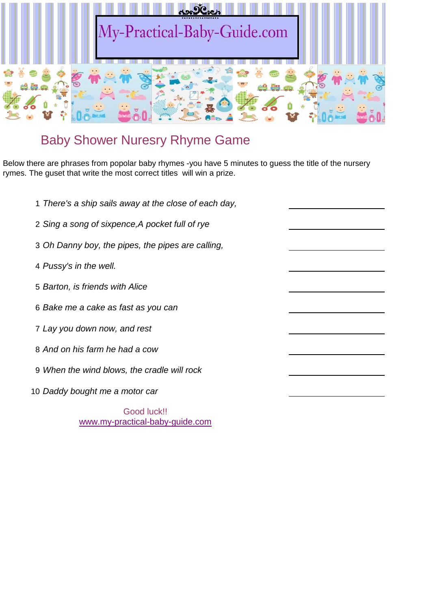

## Baby Shower Nuresry Rhyme Game

Below there are phrases from popolar baby rhymes -you have 5 minutes to guess the title of the nursery rymes. The guset that write the most correct titles will win a prize.

 *There's a ship sails away at the close of each day, Sing a song of sixpence,A pocket full of rye Oh Danny boy, the pipes, the pipes are calling, Pussy's in the well. Barton, is friends with Alice Bake me a cake as fast as you can Lay you down now, and rest And on his farm he had a cow When the wind blows, the cradle will rock Daddy bought me a motor car*

Good luck!! [www.my-practical-baby-guide.com](http://www.my-practical-baby-guide.com/)